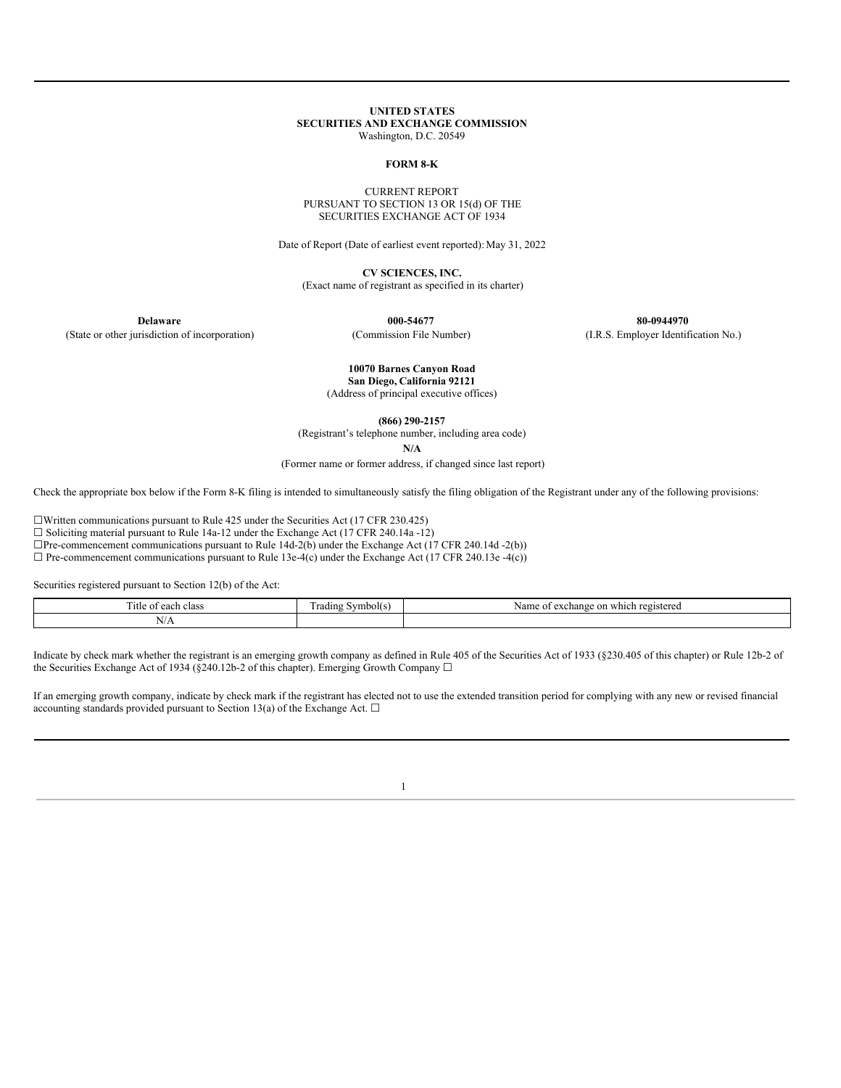# **UNITED STATES SECURITIES AND EXCHANGE COMMISSION**

Washington, D.C. 20549

#### **FORM 8-K**

#### CURRENT REPORT PURSUANT TO SECTION 13 OR 15(d) OF THE SECURITIES EXCHANGE ACT OF 1934

Date of Report (Date of earliest event reported): May 31, 2022

**CV SCIENCES, INC.** (Exact name of registrant as specified in its charter)

(State or other jurisdiction of incorporation) (Commission File Number) (I.R.S. Employer Identification No.)

**Delaware 000-54677 80-0944970**

**10070 Barnes Canyon Road San Diego, California 92121**

(Address of principal executive offices)

**(866) 290-2157**

(Registrant's telephone number, including area code)

**N/A**

(Former name or former address, if changed since last report)

Check the appropriate box below if the Form 8-K filing is intended to simultaneously satisfy the filing obligation of the Registrant under any of the following provisions:

☐Written communications pursuant to Rule 425 under the Securities Act (17 CFR 230.425)

 $\Box$  Soliciting material pursuant to Rule 14a-12 under the Exchange Act (17 CFR 240.14a -12)

 $\square$ Pre-commencement communications pursuant to Rule 14d-2(b) under the Exchange Act (17 CFR 240.14d -2(b))

 $\Box$  Pre-commencement communications pursuant to Rule 13e-4(c) under the Exchange Act (17 CFR 240.13e -4(c))

Securities registered pursuant to Section 12(b) of the Act:

| . itle<br>each class :<br>: OT             | radıng<br>Symbol(s. | Name<br>on which registered :<br>. exchange<br>ΩT |
|--------------------------------------------|---------------------|---------------------------------------------------|
| $\mathbf{r}$<br>$\sim$ $\sim$<br>1 V / 7 1 |                     |                                                   |

Indicate by check mark whether the registrant is an emerging growth company as defined in Rule 405 of the Securities Act of 1933 (§230.405 of this chapter) or Rule 12b-2 of the Securities Exchange Act of 1934 (§240.12b-2 of this chapter). Emerging Growth Company  $\Box$ 

If an emerging growth company, indicate by check mark if the registrant has elected not to use the extended transition period for complying with any new or revised financial accounting standards provided pursuant to Section 13(a) of the Exchange Act.  $\square$ 

1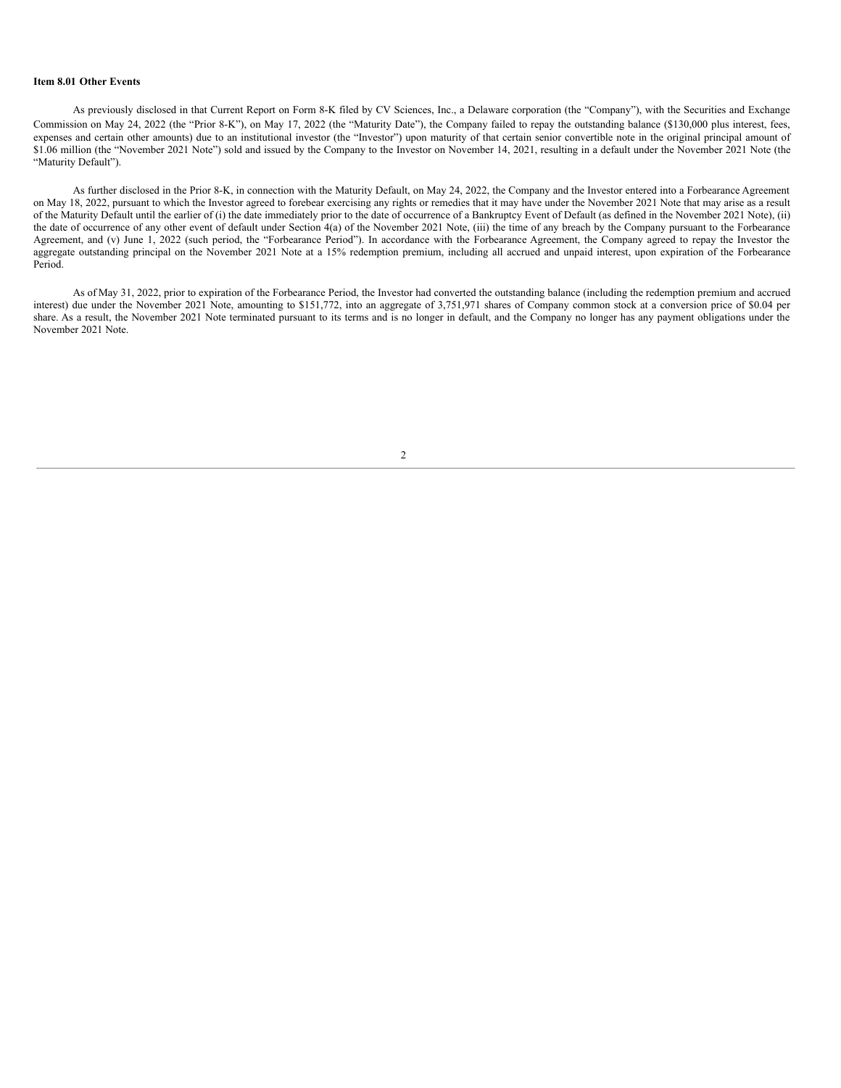#### **Item 8.01 Other Events**

As previously disclosed in that Current Report on Form 8-K filed by CV Sciences, Inc., a Delaware corporation (the "Company"), with the Securities and Exchange Commission on May 24, 2022 (the "Prior 8-K"), on May 17, 2022 (the "Maturity Date"), the Company failed to repay the outstanding balance (\$130,000 plus interest, fees, expenses and certain other amounts) due to an institutional investor (the "Investor") upon maturity of that certain senior convertible note in the original principal amount of \$1.06 million (the "November 2021 Note") sold and issued by the Company to the Investor on November 14, 2021, resulting in a default under the November 2021 Note (the "Maturity Default").

As further disclosed in the Prior 8-K, in connection with the Maturity Default, on May 24, 2022, the Company and the Investor entered into a Forbearance Agreement on May 18, 2022, pursuant to which the Investor agreed to forebear exercising any rights or remedies that it may have under the November 2021 Note that may arise as a result of the Maturity Default until the earlier of (i) the date immediately prior to the date of occurrence of a Bankruptcy Event of Default (as defined in the November 2021 Note), (ii) the date of occurrence of any other event of default under Section 4(a) of the November 2021 Note, (iii) the time of any breach by the Company pursuant to the Forbearance Agreement, and (v) June 1, 2022 (such period, the "Forbearance Period"). In accordance with the Forbearance Agreement, the Company agreed to repay the Investor the aggregate outstanding principal on the November 2021 Note at a 15% redemption premium, including all accrued and unpaid interest, upon expiration of the Forbearance Period.

As of May 31, 2022, prior to expiration of the Forbearance Period, the Investor had converted the outstanding balance (including the redemption premium and accrued interest) due under the November 2021 Note, amounting to \$151,772, into an aggregate of 3,751,971 shares of Company common stock at a conversion price of \$0.04 per share. As a result, the November 2021 Note terminated pursuant to its terms and is no longer in default, and the Company no longer has any payment obligations under the November 2021 Note.